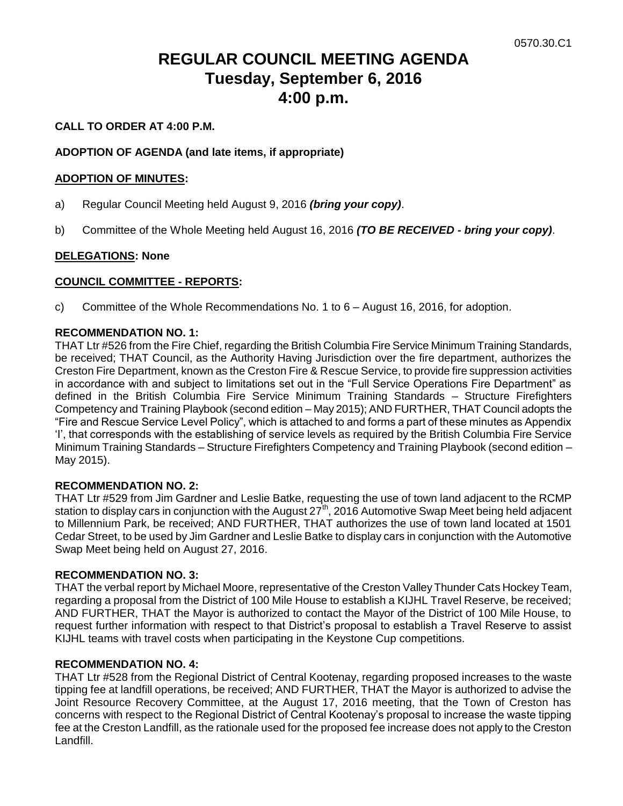# **REGULAR COUNCIL MEETING AGENDA Tuesday, September 6, 2016 4:00 p.m.**

# **CALL TO ORDER AT 4:00 P.M.**

# **ADOPTION OF AGENDA (and late items, if appropriate)**

# **ADOPTION OF MINUTES:**

- a) Regular Council Meeting held August 9, 2016 *(bring your copy)*.
- b) Committee of the Whole Meeting held August 16, 2016 *(TO BE RECEIVED - bring your copy)*.

# **DELEGATIONS: None**

# **COUNCIL COMMITTEE - REPORTS:**

c) Committee of the Whole Recommendations No. 1 to 6 – August 16, 2016, for adoption.

# **RECOMMENDATION NO. 1:**

THAT Ltr #526 from the Fire Chief, regarding the British Columbia Fire Service Minimum Training Standards, be received; THAT Council, as the Authority Having Jurisdiction over the fire department, authorizes the Creston Fire Department, known as the Creston Fire & Rescue Service, to provide fire suppression activities in accordance with and subject to limitations set out in the "Full Service Operations Fire Department" as defined in the British Columbia Fire Service Minimum Training Standards – Structure Firefighters Competency and Training Playbook (second edition – May 2015); AND FURTHER, THAT Council adopts the "Fire and Rescue Service Level Policy", which is attached to and forms a part of these minutes as Appendix "I", that corresponds with the establishing of service levels as required by the British Columbia Fire Service Minimum Training Standards – Structure Firefighters Competency and Training Playbook (second edition – May 2015).

#### **RECOMMENDATION NO. 2:**

THAT Ltr #529 from Jim Gardner and Leslie Batke, requesting the use of town land adjacent to the RCMP station to display cars in conjunction with the August 27<sup>th</sup>, 2016 Automotive Swap Meet being held adjacent to Millennium Park, be received; AND FURTHER, THAT authorizes the use of town land located at 1501 Cedar Street, to be used by Jim Gardner and Leslie Batke to display cars in conjunction with the Automotive Swap Meet being held on August 27, 2016.

#### **RECOMMENDATION NO. 3:**

THAT the verbal report by Michael Moore, representative of the Creston Valley Thunder Cats Hockey Team, regarding a proposal from the District of 100 Mile House to establish a KIJHL Travel Reserve, be received; AND FURTHER, THAT the Mayor is authorized to contact the Mayor of the District of 100 Mile House, to request further information with respect to that District"s proposal to establish a Travel Reserve to assist KIJHL teams with travel costs when participating in the Keystone Cup competitions.

#### **RECOMMENDATION NO. 4:**

THAT Ltr #528 from the Regional District of Central Kootenay, regarding proposed increases to the waste tipping fee at landfill operations, be received; AND FURTHER, THAT the Mayor is authorized to advise the Joint Resource Recovery Committee, at the August 17, 2016 meeting, that the Town of Creston has concerns with respect to the Regional District of Central Kootenay"s proposal to increase the waste tipping fee at the Creston Landfill, as the rationale used for the proposed fee increase does not apply to the Creston Landfill.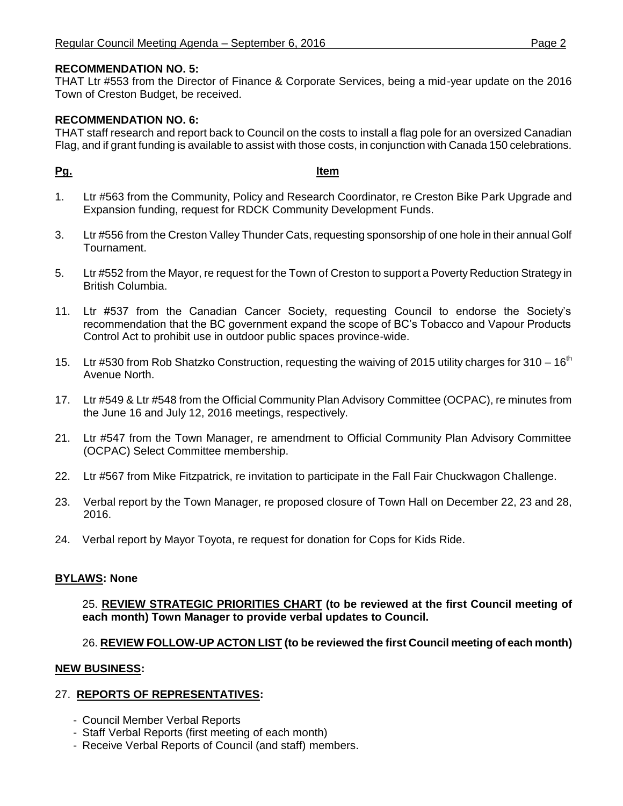# **RECOMMENDATION NO. 5:**

THAT Ltr #553 from the Director of Finance & Corporate Services, being a mid-year update on the 2016 Town of Creston Budget, be received.

# **RECOMMENDATION NO. 6:**

THAT staff research and report back to Council on the costs to install a flag pole for an oversized Canadian Flag, and if grant funding is available to assist with those costs, in conjunction with Canada 150 celebrations.

# **Pg. Item**

- 1. Ltr #563 from the Community, Policy and Research Coordinator, re Creston Bike Park Upgrade and Expansion funding, request for RDCK Community Development Funds.
- 3. Ltr #556 from the Creston Valley Thunder Cats, requesting sponsorship of one hole in their annual Golf Tournament.
- 5. Ltr #552 from the Mayor, re request for the Town of Creston to support a Poverty Reduction Strategy in British Columbia.
- 11. Ltr #537 from the Canadian Cancer Society, requesting Council to endorse the Society"s recommendation that the BC government expand the scope of BC"s Tobacco and Vapour Products Control Act to prohibit use in outdoor public spaces province-wide.
- 15. Ltr #530 from Rob Shatzko Construction, requesting the waiving of 2015 utility charges for 310 16<sup>th</sup> Avenue North.
- 17. Ltr #549 & Ltr #548 from the Official Community Plan Advisory Committee (OCPAC), re minutes from the June 16 and July 12, 2016 meetings, respectively.
- 21. Ltr #547 from the Town Manager, re amendment to Official Community Plan Advisory Committee (OCPAC) Select Committee membership.
- 22. Ltr #567 from Mike Fitzpatrick, re invitation to participate in the Fall Fair Chuckwagon Challenge.
- 23. Verbal report by the Town Manager, re proposed closure of Town Hall on December 22, 23 and 28, 2016.
- 24. Verbal report by Mayor Toyota, re request for donation for Cops for Kids Ride.

#### **BYLAWS: None**

25. **REVIEW STRATEGIC PRIORITIES CHART (to be reviewed at the first Council meeting of each month) Town Manager to provide verbal updates to Council.**

# 26. **REVIEW FOLLOW-UP ACTON LIST (to be reviewed the first Council meeting of each month)**

#### **NEW BUSINESS:**

#### 27. **REPORTS OF REPRESENTATIVES:**

- Council Member Verbal Reports
- Staff Verbal Reports (first meeting of each month)
- Receive Verbal Reports of Council (and staff) members.